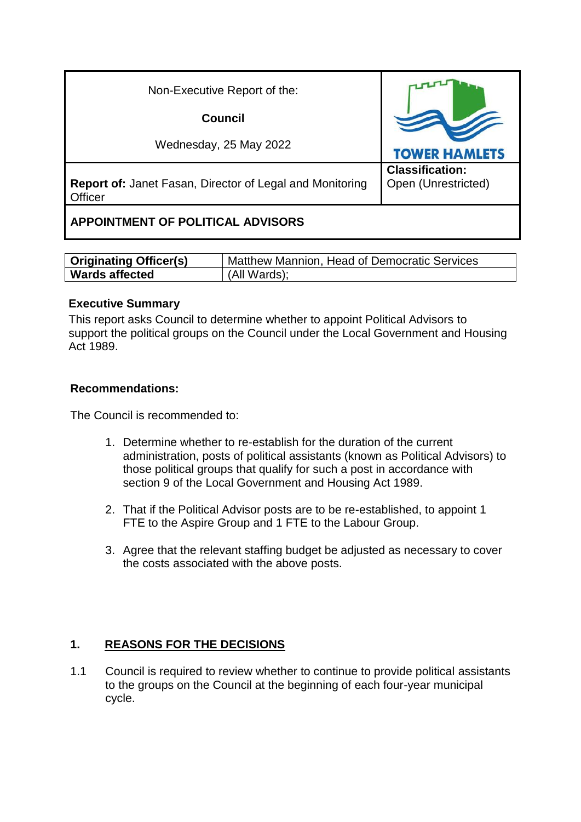| Non-Executive Report of the:                                               |                                               |
|----------------------------------------------------------------------------|-----------------------------------------------|
| Council                                                                    |                                               |
| Wednesday, 25 May 2022                                                     | <b>TOWER HAMLETS</b>                          |
| <b>Report of: Janet Fasan, Director of Legal and Monitoring</b><br>Officer | <b>Classification:</b><br>Open (Unrestricted) |
| <b>APPOINTMENT OF POLITICAL ADVISORS</b>                                   |                                               |

| <b>Originating Officer(s)</b> | Matthew Mannion, Head of Democratic Services |
|-------------------------------|----------------------------------------------|
| <b>Wards affected</b>         | (All Wards);                                 |

#### **Executive Summary**

This report asks Council to determine whether to appoint Political Advisors to support the political groups on the Council under the Local Government and Housing Act 1989.

#### **Recommendations:**

The Council is recommended to:

- 1. Determine whether to re-establish for the duration of the current administration, posts of political assistants (known as Political Advisors) to those political groups that qualify for such a post in accordance with section 9 of the Local Government and Housing Act 1989.
- 2. That if the Political Advisor posts are to be re-established, to appoint 1 FTE to the Aspire Group and 1 FTE to the Labour Group.
- 3. Agree that the relevant staffing budget be adjusted as necessary to cover the costs associated with the above posts.

## **1. REASONS FOR THE DECISIONS**

1.1 Council is required to review whether to continue to provide political assistants to the groups on the Council at the beginning of each four-year municipal cycle.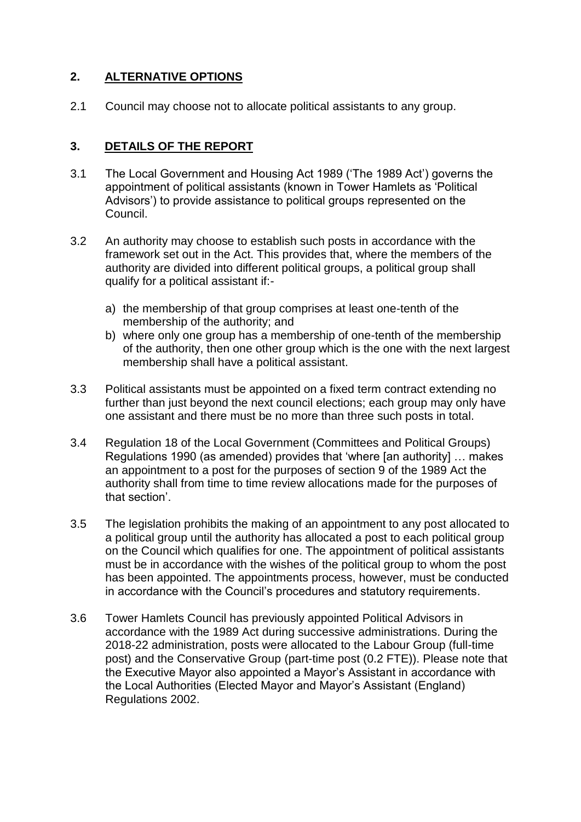# **2. ALTERNATIVE OPTIONS**

2.1 Council may choose not to allocate political assistants to any group.

### **3. DETAILS OF THE REPORT**

- 3.1 The Local Government and Housing Act 1989 ('The 1989 Act') governs the appointment of political assistants (known in Tower Hamlets as 'Political Advisors') to provide assistance to political groups represented on the Council.
- 3.2 An authority may choose to establish such posts in accordance with the framework set out in the Act. This provides that, where the members of the authority are divided into different political groups, a political group shall qualify for a political assistant if:
	- a) the membership of that group comprises at least one-tenth of the membership of the authority; and
	- b) where only one group has a membership of one-tenth of the membership of the authority, then one other group which is the one with the next largest membership shall have a political assistant.
- 3.3 Political assistants must be appointed on a fixed term contract extending no further than just beyond the next council elections; each group may only have one assistant and there must be no more than three such posts in total.
- 3.4 Regulation 18 of the Local Government (Committees and Political Groups) Regulations 1990 (as amended) provides that 'where [an authority] … makes an appointment to a post for the purposes of section 9 of the 1989 Act the authority shall from time to time review allocations made for the purposes of that section'.
- 3.5 The legislation prohibits the making of an appointment to any post allocated to a political group until the authority has allocated a post to each political group on the Council which qualifies for one. The appointment of political assistants must be in accordance with the wishes of the political group to whom the post has been appointed. The appointments process, however, must be conducted in accordance with the Council's procedures and statutory requirements.
- 3.6 Tower Hamlets Council has previously appointed Political Advisors in accordance with the 1989 Act during successive administrations. During the 2018-22 administration, posts were allocated to the Labour Group (full-time post) and the Conservative Group (part-time post (0.2 FTE)). Please note that the Executive Mayor also appointed a Mayor's Assistant in accordance with the Local Authorities (Elected Mayor and Mayor's Assistant (England) Regulations 2002.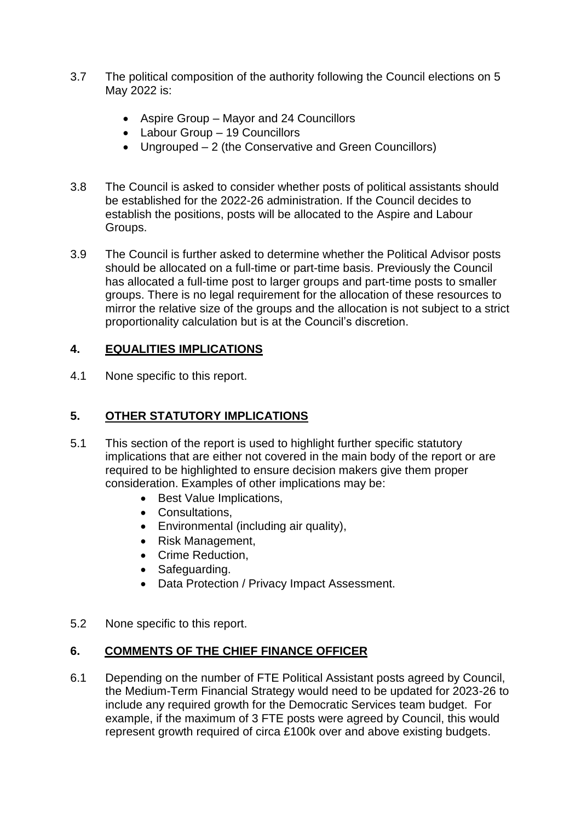- 3.7 The political composition of the authority following the Council elections on 5 May 2022 is:
	- Aspire Group Mayor and 24 Councillors
	- Labour Group 19 Councillors
	- Ungrouped 2 (the Conservative and Green Councillors)
- 3.8 The Council is asked to consider whether posts of political assistants should be established for the 2022-26 administration. If the Council decides to establish the positions, posts will be allocated to the Aspire and Labour Groups.
- 3.9 The Council is further asked to determine whether the Political Advisor posts should be allocated on a full-time or part-time basis. Previously the Council has allocated a full-time post to larger groups and part-time posts to smaller groups. There is no legal requirement for the allocation of these resources to mirror the relative size of the groups and the allocation is not subject to a strict proportionality calculation but is at the Council's discretion.

# **4. EQUALITIES IMPLICATIONS**

4.1 None specific to this report.

# **5. OTHER STATUTORY IMPLICATIONS**

- 5.1 This section of the report is used to highlight further specific statutory implications that are either not covered in the main body of the report or are required to be highlighted to ensure decision makers give them proper consideration. Examples of other implications may be:
	- Best Value Implications.
	- Consultations.
	- Environmental (including air quality),
	- Risk Management,
	- Crime Reduction,
	- Safeguarding.
	- Data Protection / Privacy Impact Assessment.
- 5.2 None specific to this report.

## **6. COMMENTS OF THE CHIEF FINANCE OFFICER**

6.1 Depending on the number of FTE Political Assistant posts agreed by Council, the Medium-Term Financial Strategy would need to be updated for 2023-26 to include any required growth for the Democratic Services team budget. For example, if the maximum of 3 FTE posts were agreed by Council, this would represent growth required of circa £100k over and above existing budgets.